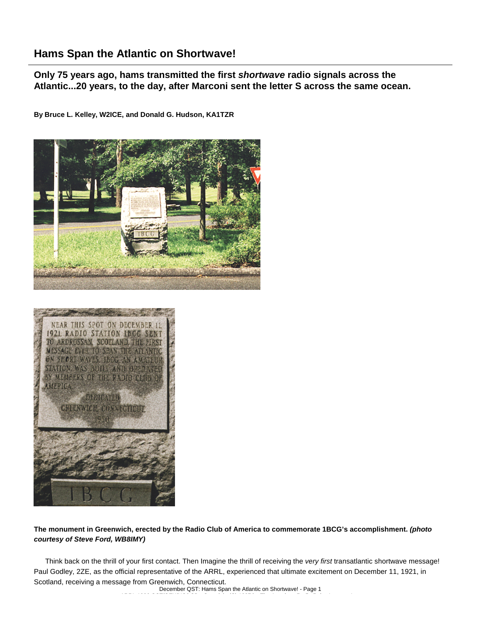## **Hams Span the Atlantic on Shortwave!**

**Only 75 years ago, hams transmitted the first** *shortwave* **radio signals across the Atlantic...20 years, to the day, after Marconi sent the letter S across the same ocean.**

**By Bruce L. Kelley, W2ICE, and Donald G. Hudson, KA1TZR**





## **The monument in Greenwich, erected by the Radio Club of America to commemorate 1BCG's accomplishment.** *(photo courtesy of Steve Ford, WB8IMY)*

Think back on the thrill of your first contact. Then Imagine the thrill of receiving the *very first* transatlantic shortwave message! Paul Godley, 2ZE, as the official representative of the ARRL, experienced that ultimate excitement on December 11, 1921, in Scotland, receiving a message from Greenwich, Connecticut.

December QST: Hams Span the Atlantic on Shortwave! - Page 1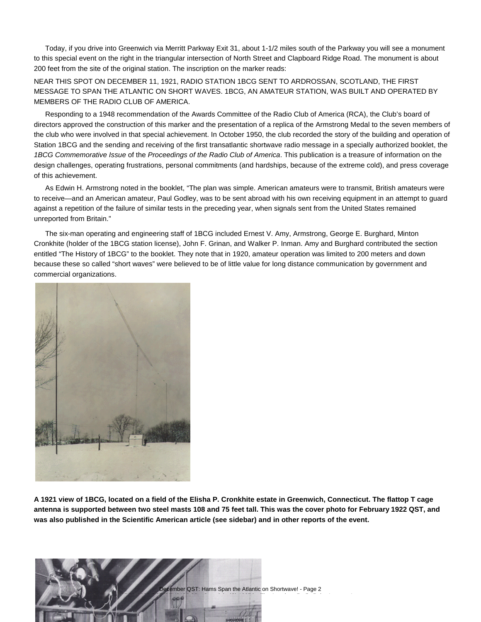Today, if you drive into Greenwich via Merritt Parkway Exit 31, about 1-1/2 miles south of the Parkway you will see a monument to this special event on the right in the triangular intersection of North Street and Clapboard Ridge Road. The monument is about 200 feet from the site of the original station. The inscription on the marker reads:

NEAR THIS SPOT ON DECEMBER 11, 1921, RADIO STATION 1BCG SENT TO ARDROSSAN, SCOTLAND, THE FIRST MESSAGE TO SPAN THE ATLANTIC ON SHORT WAVES. 1BCG, AN AMATEUR STATION, WAS BUILT AND OPERATED BY MEMBERS OF THE RADIO CLUB OF AMERICA.

Responding to a 1948 recommendation of the Awards Committee of the Radio Club of America (RCA), the Club's board of directors approved the construction of this marker and the presentation of a replica of the Armstrong Medal to the seven members of the club who were involved in that special achievement. In October 1950, the club recorded the story of the building and operation of Station 1BCG and the sending and receiving of the first transatlantic shortwave radio message in a specially authorized booklet, the *1BCG Commemorative Issue* of the *Proceedings of the Radio Club of America*. This publication is a treasure of information on the design challenges, operating frustrations, personal commitments (and hardships, because of the extreme cold), and press coverage of this achievement.

As Edwin H. Armstrong noted in the booklet, "The plan was simple. American amateurs were to transmit, British amateurs were to receive—and an American amateur, Paul Godley, was to be sent abroad with his own receiving equipment in an attempt to guard against a repetition of the failure of similar tests in the preceding year, when signals sent from the United States remained unreported from Britain."

The six-man operating and engineering staff of 1BCG included Ernest V. Amy, Armstrong, George E. Burghard, Minton Cronkhite (holder of the 1BCG station license), John F. Grinan, and Walker P. Inman. Amy and Burghard contributed the section entitled "The History of 1BCG" to the booklet. They note that in 1920, amateur operation was limited to 200 meters and down because these so called "short waves" were believed to be of little value for long distance communication by government and commercial organizations.



**A 1921 view of 1BCG, located on a field of the Elisha P. Cronkhite estate in Greenwich, Connecticut. The flattop T cage antenna is supported between two steel masts 108 and 75 feet tall. This was the cover photo for February 1922 QST, and was also published in the Scientific American article (see sidebar) and in other reports of the event.**

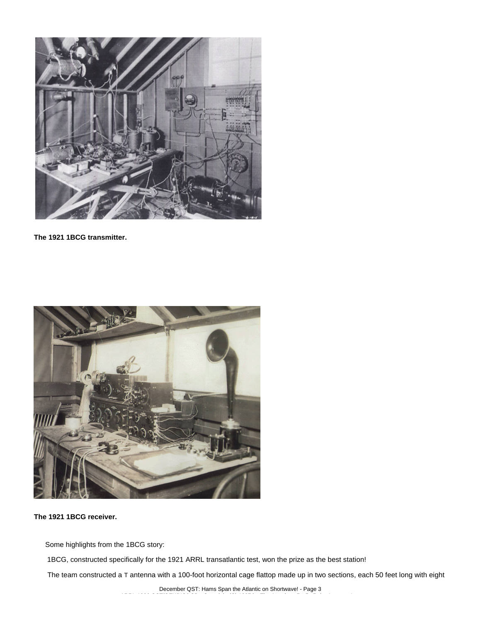

**The 1921 1BCG transmitter.**



**The 1921 1BCG receiver.**

Some highlights from the 1BCG story:

1BCG, constructed specifically for the 1921 ARRL transatlantic test, won the prize as the best station!

The team constructed a T antenna with a 100-foot horizontal cage flattop made up in two sections, each 50 feet long with eight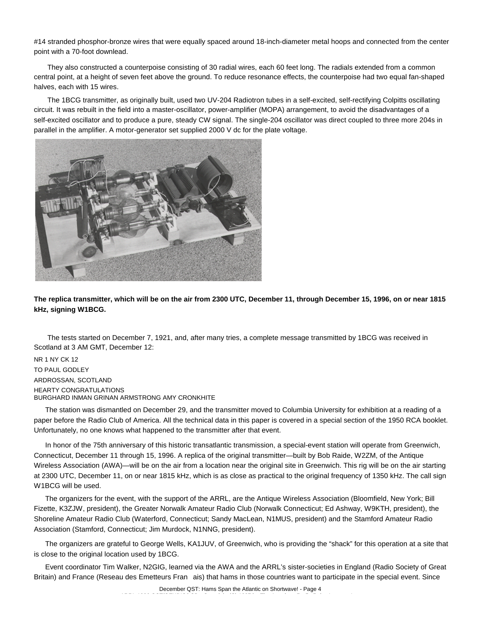#14 stranded phosphor-bronze wires that were equally spaced around 18-inch-diameter metal hoops and connected from the center point with a 70-foot downlead.

They also constructed a counterpoise consisting of 30 radial wires, each 60 feet long. The radials extended from a common central point, at a height of seven feet above the ground. To reduce resonance effects, the counterpoise had two equal fan-shaped halves, each with 15 wires.

The 1BCG transmitter, as originally built, used two UV-204 Radiotron tubes in a self-excited, self-rectifying Colpitts oscillating circuit. It was rebuilt in the field into a master-oscillator, power-amplifier (MOPA) arrangement, to avoid the disadvantages of a self-excited oscillator and to produce a pure, steady CW signal. The single-204 oscillator was direct coupled to three more 204s in parallel in the amplifier. A motor-generator set supplied 2000 V dc for the plate voltage.



**The replica transmitter, which will be on the air from 2300 UTC, December 11, through December 15, 1996, on or near 1815 kHz, signing W1BCG.**

The tests started on December 7, 1921, and, after many tries, a complete message transmitted by 1BCG was received in Scotland at 3 AM GMT, December 12:

NR 1 NY CK 12 TO PAUL GODLEY ARDROSSAN, SCOTLAND HEARTY CONGRATULATIONS BURGHARD INMAN GRINAN ARMSTRONG AMY CRONKHITE

The station was dismantled on December 29, and the transmitter moved to Columbia University for exhibition at a reading of a paper before the Radio Club of America. All the technical data in this paper is covered in a special section of the 1950 RCA booklet. Unfortunately, no one knows what happened to the transmitter after that event.

In honor of the 75th anniversary of this historic transatlantic transmission, a special-event station will operate from Greenwich, Connecticut, December 11 through 15, 1996. A replica of the original transmitter—built by Bob Raide, W2ZM, of the Antique Wireless Association (AWA)—will be on the air from a location near the original site in Greenwich. This rig will be on the air starting at 2300 UTC, December 11, on or near 1815 kHz, which is as close as practical to the original frequency of 1350 kHz. The call sign W1BCG will be used.

The organizers for the event, with the support of the ARRL, are the Antique Wireless Association (Bloomfield, New York; Bill Fizette, K3ZJW, president), the Greater Norwalk Amateur Radio Club (Norwalk Connecticut; Ed Ashway, W9KTH, president), the Shoreline Amateur Radio Club (Waterford, Connecticut; Sandy MacLean, N1MUS, president) and the Stamford Amateur Radio Association (Stamford, Connecticut; Jim Murdock, N1NNG, president).

The organizers are grateful to George Wells, KA1JUV, of Greenwich, who is providing the "shack" for this operation at a site that is close to the original location used by 1BCG.

Event coordinator Tim Walker, N2GIG, learned via the AWA and the ARRL's sister-societies in England (Radio Society of Great Britain) and France (Reseau des Emetteurs Franais) that hams in those countries want to participate in the special event. Since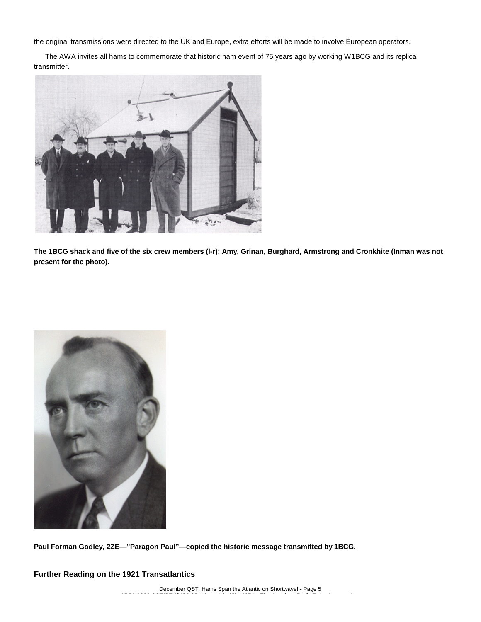the original transmissions were directed to the UK and Europe, extra efforts will be made to involve European operators.

The AWA invites all hams to commemorate that historic ham event of 75 years ago by working W1BCG and its replica transmitter.

![](_page_4_Picture_2.jpeg)

**The 1BCG shack and five of the six crew members (l-r): Amy, Grinan, Burghard, Armstrong and Cronkhite (Inman was not present for the photo).**

![](_page_4_Picture_4.jpeg)

**Paul Forman Godley, 2ZE—"Paragon Paul"—copied the historic message transmitted by 1BCG.**

**Further Reading on the 1921 Transatlantics**